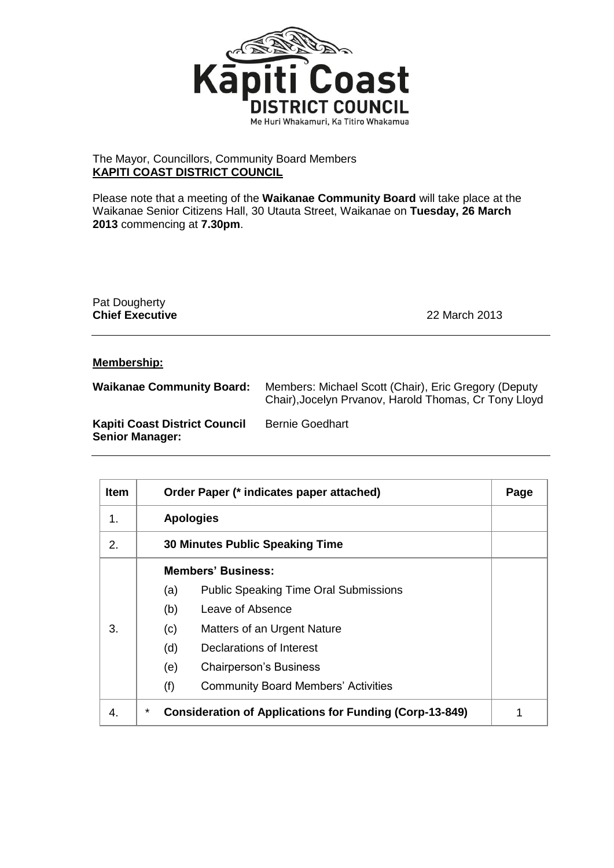

## The Mayor, Councillors, Community Board Members **KAPITI COAST DISTRICT COUNCIL**

Please note that a meeting of the **Waikanae Community Board** will take place at the Waikanae Senior Citizens Hall, 30 Utauta Street, Waikanae on **Tuesday, 26 March 2013** commencing at **7.30pm**.

Pat Dougherty **Chief Executive** 22 March 2013

## **Membership:**

| <b>Waikanae Community Board:</b>                               | Members: Michael Scott (Chair), Eric Gregory (Deputy<br>Chair), Jocelyn Prvanov, Harold Thomas, Cr Tony Lloyd |
|----------------------------------------------------------------|---------------------------------------------------------------------------------------------------------------|
| <b>Kapiti Coast District Council</b><br><b>Senior Manager:</b> | <b>Bernie Goedhart</b>                                                                                        |

| <b>Item</b> | Order Paper (* indicates paper attached)                            | Page |
|-------------|---------------------------------------------------------------------|------|
| 1.          | <b>Apologies</b>                                                    |      |
| 2.          | <b>30 Minutes Public Speaking Time</b>                              |      |
| 3.          | <b>Members' Business:</b>                                           |      |
|             | <b>Public Speaking Time Oral Submissions</b><br>(a)                 |      |
|             | (b)<br>Leave of Absence                                             |      |
|             | Matters of an Urgent Nature<br>(c)                                  |      |
|             | (d)<br>Declarations of Interest                                     |      |
|             | (e)<br><b>Chairperson's Business</b>                                |      |
|             | (f)<br><b>Community Board Members' Activities</b>                   |      |
| 4.          | *<br><b>Consideration of Applications for Funding (Corp-13-849)</b> |      |